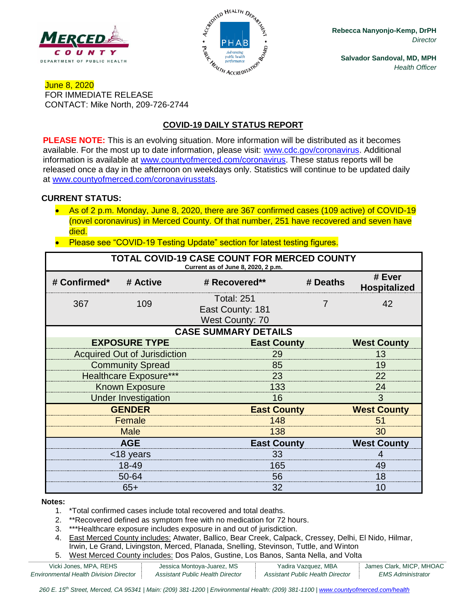



**Rebecca Nanyonjo-Kemp, DrPH** *Director*

**Salvador Sandoval, MD, MPH** *Health Officer*

### June 8, 2020 FOR IMMEDIATE RELEASE CONTACT: Mike North, 209-726-2744

## **COVID-19 DAILY STATUS REPORT**

**PLEASE NOTE:** This is an evolving situation. More information will be distributed as it becomes available. For the most up to date information, please visit: [www.cdc.gov/coronavirus.](http://www.cdc.gov/coronavirus) Additional information is available at [www.countyofmerced.com/coronavirus.](http://www.countyofmerced.com/coronavirus) These status reports will be released once a day in the afternoon on weekdays only. Statistics will continue to be updated daily at [www.countyofmerced.com/coronavirusstats.](http://www.countyofmerced.com/coronavirusstats)

#### **CURRENT STATUS:**

- As of 2 p.m. Monday, June 8, 2020, there are 367 confirmed cases (109 active) of COVID-19 (novel coronavirus) in Merced County. Of that number, 251 have recovered and seven have died.
- Please see "COVID-19 Testing Update" section for latest testing figures.

| <b>TOTAL COVID-19 CASE COUNT FOR MERCED COUNTY</b><br>Current as of June 8, 2020, 2 p.m. |                                     |                                                                 |                    |                               |  |  |  |
|------------------------------------------------------------------------------------------|-------------------------------------|-----------------------------------------------------------------|--------------------|-------------------------------|--|--|--|
| # Confirmed*                                                                             | # Active                            | # Recovered**                                                   | # Deaths           | # Ever<br><b>Hospitalized</b> |  |  |  |
| 367                                                                                      | 109                                 | <b>Total: 251</b><br>East County: 181<br><b>West County: 70</b> | 7                  | 42                            |  |  |  |
| <b>CASE SUMMARY DETAILS</b>                                                              |                                     |                                                                 |                    |                               |  |  |  |
|                                                                                          | <b>EXPOSURE TYPE</b>                |                                                                 | <b>East County</b> |                               |  |  |  |
|                                                                                          | <b>Acquired Out of Jurisdiction</b> | 29                                                              |                    |                               |  |  |  |
|                                                                                          | <b>Community Spread</b>             | 85                                                              |                    |                               |  |  |  |
|                                                                                          | <b>Healthcare Exposure***</b>       | 23                                                              |                    |                               |  |  |  |
| <b>Known Exposure</b>                                                                    |                                     | 133                                                             |                    |                               |  |  |  |
|                                                                                          | <b>Under Investigation</b>          | 16                                                              |                    |                               |  |  |  |
| <b>GENDER</b>                                                                            |                                     |                                                                 | <b>East County</b> |                               |  |  |  |
| Female                                                                                   |                                     | 148                                                             |                    |                               |  |  |  |
|                                                                                          | <b>Male</b>                         | 138                                                             |                    |                               |  |  |  |
| <b>AGE</b>                                                                               |                                     |                                                                 | <b>East County</b> |                               |  |  |  |
| <18 years                                                                                |                                     | 33                                                              |                    |                               |  |  |  |
| 18-49                                                                                    |                                     | 165                                                             |                    |                               |  |  |  |
| 50-64                                                                                    |                                     | 56                                                              |                    |                               |  |  |  |
| $65+$                                                                                    |                                     | 32                                                              |                    | 10                            |  |  |  |

#### **Notes:**

- 1. \*Total confirmed cases include total recovered and total deaths.
- 2. \*\*Recovered defined as symptom free with no medication for 72 hours.
- 3. \*\*\*Healthcare exposure includes exposure in and out of jurisdiction.
- 4. East Merced County includes: Atwater, Ballico, Bear Creek, Calpack, Cressey, Delhi, El Nido, Hilmar, Irwin, Le Grand, Livingston, Merced, Planada, Snelling, Stevinson, Tuttle, and Winton
- 5. West Merced County includes: Dos Palos, Gustine, Los Banos, Santa Nella, and Volta

| Vicki Jones, MPA, REHS                        | Jessica Montoya-Juarez, MS       | Yadira Vazquez, MBA              | James Clark, MICP, MHOAC |
|-----------------------------------------------|----------------------------------|----------------------------------|--------------------------|
| <b>Environmental Health Division Director</b> | Assistant Public Health Director | Assistant Public Health Director | <i>EMS Administrator</i> |

260 E. 15<sup>th</sup> Street, Merced, CA 95341 | Main: (209) 381-1200 | Environmental Health: (209) 381-1100 | [www.countyofmerced.com/health](http://www.countyofmerced.com/health)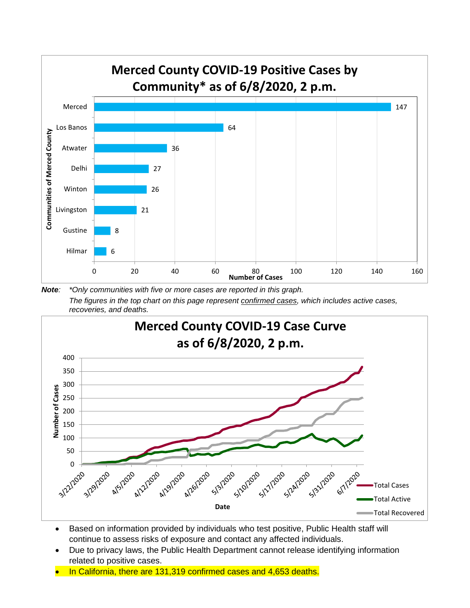

*Note: \*Only communities with five or more cases are reported in this graph. The figures in the top chart on this page represent confirmed cases, which includes active cases, recoveries, and deaths.*



- Based on information provided by individuals who test positive, Public Health staff will continue to assess risks of exposure and contact any affected individuals.
- Due to privacy laws, the Public Health Department cannot release identifying information related to positive cases.
- In California, there are 131,319 confirmed cases and 4,653 deaths.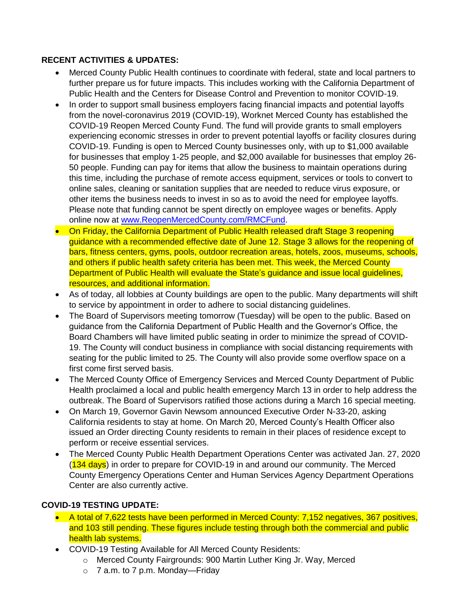### **RECENT ACTIVITIES & UPDATES:**

- Merced County Public Health continues to coordinate with federal, state and local partners to further prepare us for future impacts. This includes working with the California Department of Public Health and the Centers for Disease Control and Prevention to monitor COVID-19.
- In order to support small business employers facing financial impacts and potential layoffs from the novel-coronavirus 2019 (COVID-19), Worknet Merced County has established the COVID-19 Reopen Merced County Fund. The fund will provide grants to small employers experiencing economic stresses in order to prevent potential layoffs or facility closures during COVID-19. Funding is open to Merced County businesses only, with up to \$1,000 available for businesses that employ 1-25 people, and \$2,000 available for businesses that employ 26- 50 people. Funding can pay for items that allow the business to maintain operations during this time, including the purchase of remote access equipment, services or tools to convert to online sales, cleaning or sanitation supplies that are needed to reduce virus exposure, or other items the business needs to invest in so as to avoid the need for employee layoffs. Please note that funding cannot be spent directly on employee wages or benefits. Apply online now at [www.ReopenMercedCounty.com/RMCFund.](http://www.reopenmercedcounty.com/RMCFund)
- On Friday, the California Department of Public Health released draft Stage 3 reopening guidance with a recommended effective date of June 12. Stage 3 allows for the reopening of bars, fitness centers, gyms, pools, outdoor recreation areas, hotels, zoos, museums, schools, and others if public health safety criteria has been met. This week, the Merced County Department of Public Health will evaluate the State's guidance and issue local guidelines, resources, and additional information.
- As of today, all lobbies at County buildings are open to the public. Many departments will shift to service by appointment in order to adhere to social distancing guidelines.
- The Board of Supervisors meeting tomorrow (Tuesday) will be open to the public. Based on guidance from the California Department of Public Health and the Governor's Office, the Board Chambers will have limited public seating in order to minimize the spread of COVID-19. The County will conduct business in compliance with social distancing requirements with seating for the public limited to 25. The County will also provide some overflow space on a first come first served basis.
- The Merced County Office of Emergency Services and Merced County Department of Public Health proclaimed a local and public health emergency March 13 in order to help address the outbreak. The Board of Supervisors ratified those actions during a March 16 special meeting.
- On March 19, Governor Gavin Newsom announced Executive Order N-33-20, asking California residents to stay at home. On March 20, Merced County's Health Officer also issued an Order directing County residents to remain in their places of residence except to perform or receive essential services.
- The Merced County Public Health Department Operations Center was activated Jan. 27, 2020 (134 days) in order to prepare for COVID-19 in and around our community. The Merced County Emergency Operations Center and Human Services Agency Department Operations Center are also currently active.

# **COVID-19 TESTING UPDATE:**

- A total of 7,622 tests have been performed in Merced County: 7,152 negatives, 367 positives, and 103 still pending. These figures include testing through both the commercial and public health lab systems.
- COVID-19 Testing Available for All Merced County Residents:
	- o Merced County Fairgrounds: 900 Martin Luther King Jr. Way, Merced
	- $\circ$  7 a.m. to 7 p.m. Monday—Friday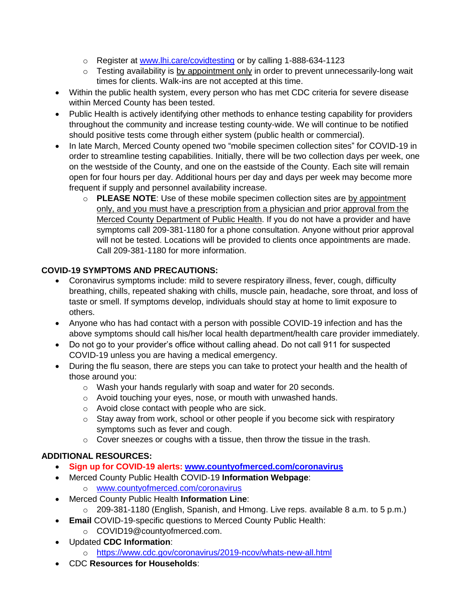- o Register at [www.lhi.care/covidtesting](http://www.lhi.care/covidtesting) or by calling 1-888-634-1123
- o Testing availability is by appointment only in order to prevent unnecessarily-long wait times for clients. Walk-ins are not accepted at this time.
- Within the public health system, every person who has met CDC criteria for severe disease within Merced County has been tested.
- Public Health is actively identifying other methods to enhance testing capability for providers throughout the community and increase testing county-wide. We will continue to be notified should positive tests come through either system (public health or commercial).
- In late March, Merced County opened two "mobile specimen collection sites" for COVID-19 in order to streamline testing capabilities. Initially, there will be two collection days per week, one on the westside of the County, and one on the eastside of the County. Each site will remain open for four hours per day. Additional hours per day and days per week may become more frequent if supply and personnel availability increase.
	- o **PLEASE NOTE**: Use of these mobile specimen collection sites are by appointment only, and you must have a prescription from a physician and prior approval from the Merced County Department of Public Health. If you do not have a provider and have symptoms call 209-381-1180 for a phone consultation. Anyone without prior approval will not be tested. Locations will be provided to clients once appointments are made. Call 209-381-1180 for more information.

# **COVID-19 SYMPTOMS AND PRECAUTIONS:**

- Coronavirus symptoms include: mild to severe respiratory illness, fever, cough, difficulty breathing, chills, repeated shaking with chills, muscle pain, headache, sore throat, and loss of taste or smell. If symptoms develop, individuals should stay at home to limit exposure to others.
- Anyone who has had contact with a person with possible COVID-19 infection and has the above symptoms should call his/her local health department/health care provider immediately.
- Do not go to your provider's office without calling ahead. Do not call 911 for suspected COVID-19 unless you are having a medical emergency.
- During the flu season, there are steps you can take to protect your health and the health of those around you:
	- o Wash your hands regularly with soap and water for 20 seconds.
	- o Avoid touching your eyes, nose, or mouth with unwashed hands.
	- o Avoid close contact with people who are sick.
	- o Stay away from work, school or other people if you become sick with respiratory symptoms such as fever and cough.
	- o Cover sneezes or coughs with a tissue, then throw the tissue in the trash.

# **ADDITIONAL RESOURCES:**

- **Sign up for COVID-19 alerts: [www.countyofmerced.com/coronavirus](http://www.countyofmerced.com/coronavirus)**
- Merced County Public Health COVID-19 **Information Webpage**: o [www.countyofmerced.com/coronavirus](http://www.countyofmerced.com/coronavirus)
- Merced County Public Health **Information Line**:
	- o 209-381-1180 (English, Spanish, and Hmong. Live reps. available 8 a.m. to 5 p.m.)
- **Email** COVID-19-specific questions to Merced County Public Health:
	- o COVID19@countyofmerced.com.
- Updated **CDC Information**:
	- o <https://www.cdc.gov/coronavirus/2019-ncov/whats-new-all.html>
- CDC **Resources for Households**: